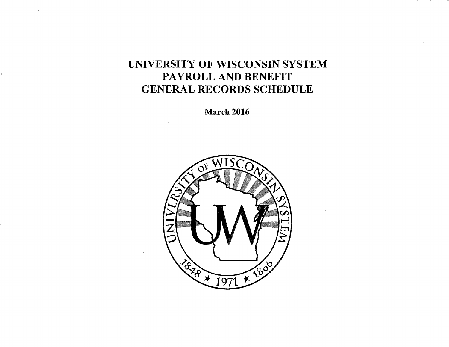# UNIVERSITY OF WISCONSIN SYSTEM PAYROLL AND BENEFIT GENERAL RECORDS SCHEDULE

March 2016

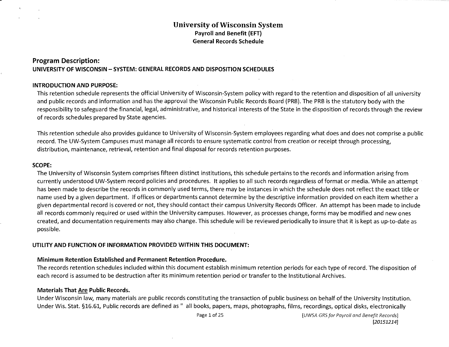#### **Program Description: UNIVERSITY OF WISCONSIN - SYSTEM: GENERAL RECORDS AND DISPOSITION SCHEDULES**

#### **INTRODUCTION AND PURPOSE:**

This retention schedule represents the official University of Wisconsin-System policy with regard to the retention and disposition of all university and public records and information and has the approval the Wisconsin Public Records Board (PRB}. The PRB is the statutory body with the responsibility to safeguard the financial, legal, administrative, and historical interests of the State in the disposition of records through the review of records schedules prepared by State agencies.

This retention schedule also provides guidance to University of Wisconsin-System employees regarding what does and does not comprise a public record. The UW-System Campuses must manage all records to ensure systematic control from creation or receipt through processing, distribution, maintenance, retrieval, retention and final disposal for records retention purposes.

#### **SCOPE:**

The University of Wisconsin System comprises fifteen distinct institutions, this schedule pertains to the records and information arising from currently understood UW-System record policies and procedures. It applies to all such records regardless of format or media. While an attempt has been made to describe the records in commonly used terms, there may be instances in which the schedule does not reflect the exact title or name used by a given department. If offices or departments cannot determine by the descriptive information provided on each item whether a given departmental record is covered or not, they should contact their campus University Records Officer. An attempt has been made to include all records commonly required or used within the University campuses. However, as processes change, forms may be modified and new ones created, and documentation requirements may also change. This schedule will be reviewed periodically to insure that it is kept as up-to-date as possible.

#### **UTILITY AND FUNCTION OF INFORMATION PROVIDED WITHIN THIS DOCUMENT:**

#### **Minimum Retention Established and Permanent Retention Procedure.**

The records retention schedules included within this document establish minimum retention periods for each type of record. The disposition of each record is assumed to be destruction after its minimum retention period or transfer to the Institutional Archives.

#### **Materials That Are Public Records.**

Under Wisconsin law, many materials are public records constituting the transaction of public business on behalf of the University Institution. Under Wis. Stat. §16.61, Public records are defined as" all books, papers, maps, photographs, films, recordings, optical disks, electronically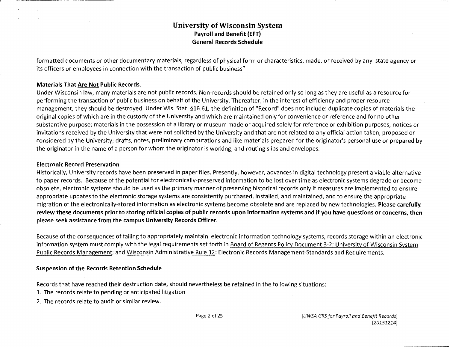formatted documents or other documentary materials, regardless of physical form or characteristics, made, or received by any state agency or its officers or employees in connection with the transaction of public business"

#### Materials That Are Not Public Records.

Under Wisconsin law, many materials are not public records. Non-records should be retained only so long as they are useful as a resource for performing the transaction of public business on behalf of the University. Thereafter, in the interest of efficiency and proper resource management, they should be destroyed. Under Wis. Stat. §16.61, the definition of "Record" does not include: duplicate copies of materials the original copies of which are in the custody of the University and which are maintained only for convenience or reference and for no other substantive purpose; materials in the possession of a library or museum made or acquired solely for reference or exhibition purposes; notices or invitations received by the University that were not solicited by the University and that are not related to any official action taken, proposed or considered by the University; drafts, notes, preliminary computations and like materials prepared for the originator's personal use or prepared by the originator in the name of a person for whom the originator is working; and routing slips and envelopes.

#### Electronic Record Preservation

Historically, University records have been preserved in paper files. Presently, however, advances in digital technology present a viable alternative to paper records. Because of the potential for electronically-preserved information to be lost over time as electronic systems degrade or become obsolete, electronic systems should be used as the primary manner of preserving historical records only if measures are implemented to ensure appropriate updates to the electronic storage systems are consistently purchased, installed, and maintained, and to ensure the appropriate migration of the electronically-stored information as electronic systems become obsolete and are replaced by new technologies. Please carefully review these documents prior to storing official copies of public records upon information systems and if you have questions or concerns, then please seek assistance from the campus University Records Officer.

Because of the consequences of failing to appropriately maintain electronic information technology systems, records storage within an electronic information system must comply with the legal requirements set forth in Board of Regents Policy Document 3-2: University of Wisconsin System Public Records Management; and Wisconsin Administrative Rule 12: Electronic Records Management-Standards and Requirements.

#### Suspension of the Records Retention Schedule

Records that have reached their destruction date, should nevertheless be retained in the following situations:

- 1. The records relate to pending or anticipated litigation
- 2. The records relate to audit or similar review.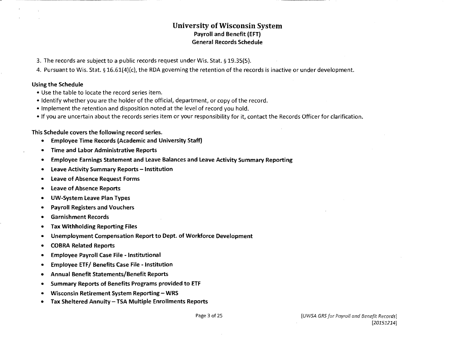- 3. The records are subject to a public records request under Wis. Stat.§ 19.35(5}.
- 4. Pursuant to Wis. Stat.§ 16.61(4}(c}, the RDA governing the retention of the records is inactive or under development.

#### Using the Schedule

- Use the table to locate the record series item.
- Identify whether you are the holder of the official, department, or copy of the record.
- Implement the retention and disposition noted at the level of record you hold.
- •If you are uncertain about the records series item or your responsibility for it, contact the Records Officer for clarification.

#### This Schedule covers the following record series.

- Employee Time Records (Academic and University Staff)
- Time and Labor Administrative Reports
- Employee Earnings Statement and Leave Balances and Leave Activity Summary Reporting
- **Leave Activity Summary Reports Institution**
- Leave of Absence Request Forms
- Leave of Absence Reports
- UW-System Leave Plan Types
- Payroll Registers and Vouchers
- Garnishment Records
- Tax Withholding Reporting Files
- Unemployment Compensation Report to Dept. of Workforce Development
- COBRA Related Reports
- Employee Payroll Case File Institutional
- Employee ETF/ Benefits Case File Institution
- Annual Benefit Statements/Benefit Reports
- Summary Reports of Benefits Programs provided to ETF
- Wisconsin Retirement System Reporting WRS
- Tax Sheltered Annuity- TSA Multiple Enrollments Reports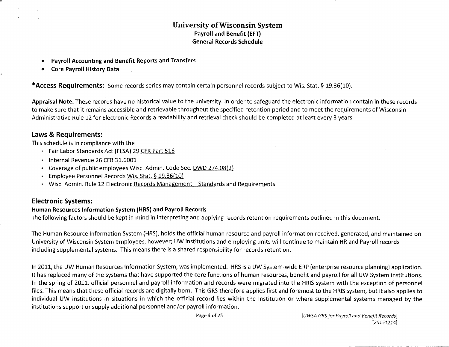- Payroll Accounting and Benefit Reports and Transfers
- Core Payroll History Data

\*Access Requirements: Some records series may contain certain personnel records subject to Wis. Stat.§ 19.36(10).

Appraisal Note: These records have no historical value to the university. In order to safeguard the electronic information contain in these records to make sure that it remains accessible and retrievable throughout the specified retention period and to meet the requirements of Wisconsin Administrative Rule 12 for Electronic Records a readability and retrieval check should be completed at least every 3 years.

# Laws & Requirements:

This schedule is in compliance with the

- Fair Labor Standards Act (FLSA) 29 CFR Part 516
- Internal Revenue 26 CFR 31.6001
- Coverage of public employees Wisc. Ad min. Code Sec. DWD 274.08(2)
- Employee Personnel Records Wis. Stat. § 19.36(10)
- Wisc. Admin. Rule 12 Electronic Records Management Standards and Requirements

# Electronic Systems:

#### Human Resources Information System (HRS) and Payroll Records

The following factors should be kept in mind in interpreting and applying records retention requirements outlined in this document.

The Human Resource Information System (HRS), holds the official human resource and payroll information received, generated, and maintained on University of Wisconsin System employees, however; UW institutions and employing units will continue to maintain HR and Payroll records including supplemental systems. This means there is a shared responsibility for records retention.

In 2011, the UW Human Resources Information System, was implemented. HRS is a UW System-wide ERP (enterprise resource planning) application. It has replaced many of the systems that have supported the core functions of human resources, benefit and payroll for all UW System institutions. In the spring of 2011, official personnel and payroll information and records were migrated into the HRIS system with the exception of personnel files. This means that these official records are digitally born. This GRS therefore applies first and foremost to the HRIS system, but it also applies to individual UW institutions in situations in which the official record lies within the institution or where supplemental systems managed by the institutions support or supply additional personnel and/or payroll information.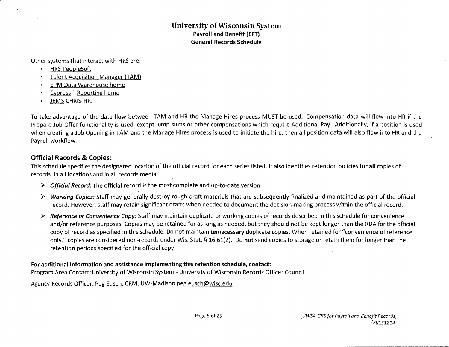Other systems that interact with HRS are:

- HRS PeopleSoft
- Talent Acquisition Manager (TAM)
- EPM Data Warehouse home
- Cypress l Reporting home
- JEMS CHRIS-HR.

To take advantage of the data flow between TAM and HR the Manage Hires process MUST be used. Compensation data will flow into HR if the Prepare Job Offer functionality is used, except lump sums or other compensations which require Additional Pay. Additionally, if a position is used when creating a Job Opening in TAM and the Manage Hires process is used to initiate the hire, then all position data will also flow into HR and the Payroll workflow.

# Official Records & Copies:

This schedule specifies the designated location of the official record for each series listed. It also identifies retention policies for all copies of records, in all locations and in all records media.

- $\triangleright$  Official Record: The official record is the most complete and up-to-date version.
- *?* Working Copies: Staff may generally destroy rough draft materials that are subsequently finalized and maintained as part of the official record. However, staff may retain significant drafts when needed to document the decision-making process within the official record.
- *?* Reference or Convenience Copy: Staff may maintain duplicate or working copies of records described in this schedule for convenience and/or reference purposes. Copies may be retained for as long as needed, but they should not be kept longer than the RDA for the official copy of record as specified in this schedule. Do not maintain unnecessary duplicate copies. When retained for "convenience of reference only," copies are considered non-records under Wis. Stat. § 16.61(2). Do not send copies to storage or retain them for longer than the retention periods specified for the official copy.

### For additional information and assistance implementing this retention schedule, contact:

Program Area Contact: University of Wisconsin System - University of Wisconsin Records Officer Council

Agency Records Officer: Peg Eusch, CRM, UW-Madison peg.eusch@wisc.edu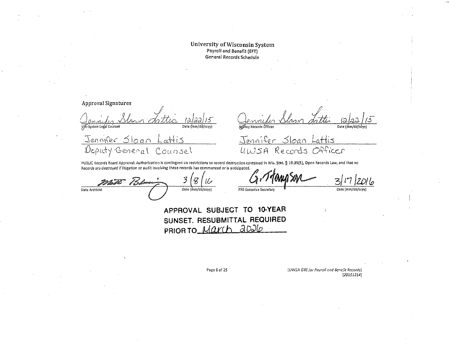Approval Signatures UW-System Legal Counsel  $Date(\n \overline{\n \lim\ndilde\overline{\n d}cccv})$ 

Date (mm/d Agency Records Ófficer

 $\sim$ itto Jennifer  $\sqrt{20}$ Deputy General Counsel

Jennifer Sloan Lattis ULUSA Records Officer

PUBLIC Records Board Approval: Authorization is contingent on restrictions to record destruction contained in Wis. Stat. § 19.35(5), Open Records Law, and that no Records Law, and that no Records Law, and that no Records L

Records are destroyed if litigation or audit involving these records has co State Archivist Collective Contract Collective Secretary of the Collective Secretary Date (mm/dd/ccyy)

**APPROVAL SUBJECT TO 10-YEAR SUNSET. RESUBMITTAL REQUIRED**  PRIOR TO March 2026

Page 6 of 25 **Page 6 of 25** [UWSA GRS for Payroll and Benefit Records] *[201512141*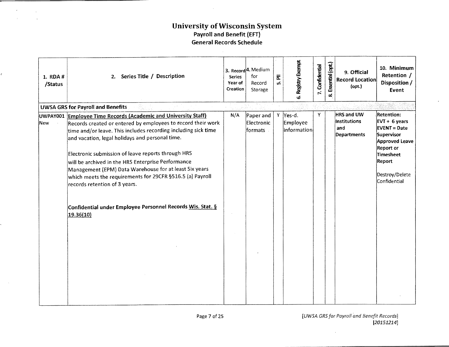| 1. RDA #<br>/Status | 2. Series Title / Description                                                                                                                                                                                                                                                                                                                                                                                                                                                                                                                                                                    | <b>Series</b><br>Year of<br>Creation | 3. Record <sup>4</sup> . Medium<br>for<br>Record<br>Storage | 둔<br>ທ່ | 5. Registry Exempt                  | 7. Confidential | Essential (opt.)<br>œ. | 9. Official<br><b>Record Location</b><br>(opt.)                | 10. Minimum<br>Retention /<br>Disposition /<br>Event                                                                                                                                    |
|---------------------|--------------------------------------------------------------------------------------------------------------------------------------------------------------------------------------------------------------------------------------------------------------------------------------------------------------------------------------------------------------------------------------------------------------------------------------------------------------------------------------------------------------------------------------------------------------------------------------------------|--------------------------------------|-------------------------------------------------------------|---------|-------------------------------------|-----------------|------------------------|----------------------------------------------------------------|-----------------------------------------------------------------------------------------------------------------------------------------------------------------------------------------|
|                     | <b>UWSA GRS for Payroll and Benefits</b>                                                                                                                                                                                                                                                                                                                                                                                                                                                                                                                                                         |                                      | jesti v ko                                                  |         |                                     |                 |                        |                                                                |                                                                                                                                                                                         |
| UWPAY001<br>New     | <b>Employee Time Records (Academic and University Staff)</b><br>Records created or entered by employees to record their work<br>time and/or leave. This includes recording including sick time<br>and vacation, legal holidays and personal time.<br>Electronic submission of leave reports through HRS<br>will be archived in the HRS Enterprise Performance<br>Management (EPM) Data Warehouse for at least Six years<br>which meets the requirements for 29CFR §516.5 (a) Payroll<br>records retention of 3 years.<br>Confidential under Employee Personnel Records Wis. Stat. §<br>19.36(10) | N/A                                  | Paper and<br>Electronic<br>formats                          |         | Y Yes-d.<br>Employee<br>information | $\mathbf Y$     |                        | <b>HRS and UW</b><br>Institutions<br>and<br><b>Departments</b> | <b>Retention:</b><br>$EVT + 6 \text{ years}$<br><b>EVENT = Date</b><br>Supervisor<br><b>Approved Leave</b><br><b>Report or</b><br>Timesheet<br>Report<br>Destroy/Delete<br>Confidential |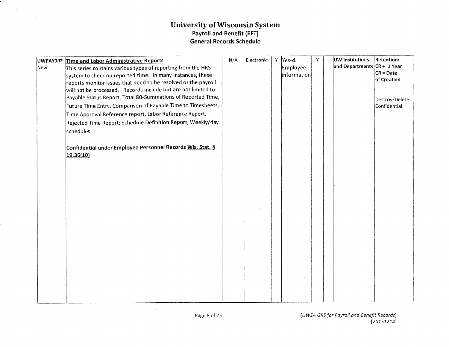|     | UWPAY002 Time and Labor Administrative Reports                 | N/A | Electronic | Υ | Yes-d.      | Y | UW Institutions             | <b>Retention:</b> |
|-----|----------------------------------------------------------------|-----|------------|---|-------------|---|-----------------------------|-------------------|
| New | This series contains various types of reporting from the HRS   |     |            |   | Employee    |   | and Departments CR + 1 Year |                   |
|     | system to check on reported time. In many instances, these     |     |            |   | information |   |                             | $CR = Date$       |
|     | reports monitor issues that need to be resolved or the payroll |     |            |   |             |   |                             | of Creation       |
|     | will not be processed. Records include but are not limited to: |     |            |   |             |   |                             |                   |
|     | Payable Status Report, Total 80-Summations of Reported Time,   |     |            |   |             |   |                             | Destroy/Delete    |
|     | Future Time Entry, Comparison of Payable Time to Timesheets,   |     |            |   |             |   |                             | Confidential      |
|     | Time Approval Reference report, Labor Reference Report,        |     |            |   |             |   |                             |                   |
|     | Rejected Time Report; Schedule Definition Report, Weekly/day   |     |            |   |             |   |                             |                   |
|     | schedules.                                                     |     |            |   |             |   |                             |                   |
|     |                                                                |     |            |   |             |   |                             |                   |
|     | Confidential under Employee Personnel Records Wis. Stat. §     |     |            |   |             |   |                             |                   |
|     | 19.36(10)                                                      |     |            |   |             |   |                             |                   |
|     |                                                                |     |            |   |             |   |                             |                   |
|     |                                                                |     |            |   |             |   |                             |                   |
|     |                                                                |     |            |   |             |   |                             |                   |
|     |                                                                |     |            |   |             |   |                             |                   |
|     |                                                                |     |            |   |             |   |                             |                   |
|     |                                                                |     |            |   |             |   |                             |                   |
|     |                                                                |     |            |   |             |   |                             |                   |
|     |                                                                |     |            |   |             |   |                             |                   |
|     |                                                                |     |            |   |             |   |                             |                   |
|     |                                                                |     |            |   |             |   |                             |                   |
|     |                                                                |     |            |   |             |   |                             |                   |
|     |                                                                |     |            |   |             |   |                             |                   |
|     |                                                                |     |            |   |             |   |                             |                   |
|     |                                                                |     |            |   |             |   |                             |                   |
|     |                                                                |     |            |   |             |   |                             |                   |
|     |                                                                |     |            |   |             |   |                             |                   |
|     |                                                                |     |            |   |             |   |                             |                   |
|     |                                                                |     |            |   |             |   |                             |                   |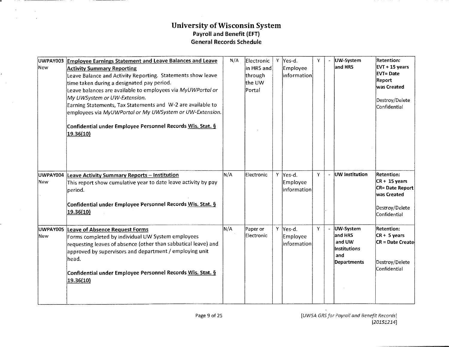$\mathbf{A}$  .

 $\sim$   $_{\rm H}$  $\mathbf{r}$ 

| UWPAY003<br>New | <b>Employee Earnings Statement and Leave Balances and Leave</b><br><b>Activity Summary Reporting</b><br>Leave Balance and Activity Reporting. Statements show leave<br>time taken during a designated pay period.<br>Leave balances are available to employees via MyUWPortal or<br>My UWSystem or UW-Extension.<br>Earning Statements, Tax Statements and W-2 are available to<br>employees via MyUWPortal or My UWSystem or UW-Extension.<br>Confidential under Employee Personnel Records Wis. Stat. §<br>19.36(10) | N/A | Electronic<br>in HRS and<br>through<br>the UW<br>Portal | -Y | Yes-d.<br>Employee<br>information           | Y |                       | UW-System<br>and HRS                                                  | <b>Retention:</b><br>EVT + 15 years<br><b>EVT=Date</b><br>Report<br>was Created<br>Destroy/Delete<br>Confidential |
|-----------------|------------------------------------------------------------------------------------------------------------------------------------------------------------------------------------------------------------------------------------------------------------------------------------------------------------------------------------------------------------------------------------------------------------------------------------------------------------------------------------------------------------------------|-----|---------------------------------------------------------|----|---------------------------------------------|---|-----------------------|-----------------------------------------------------------------------|-------------------------------------------------------------------------------------------------------------------|
| UWPAY004<br>New | Leave Activity Summary Reports - Institution<br>This report show cumulative year to date leave activity by pay<br>period.<br>Confidential under Employee Personnel Records Wis. Stat. §<br>19.36(10)                                                                                                                                                                                                                                                                                                                   | N/A | Electronic                                              |    | Y Yes-d.<br><b>Employee</b><br> information | Y |                       | UW Institution                                                        | <b>Retention:</b><br>$CR + 15$ years<br>CR= Date Report<br>was Created<br>Destroy/Delete<br>Confidential          |
| UWPAY005<br>New | <b>Leave of Absence Request Forms</b><br>Forms completed by individual UW System employees<br>requesting leaves of absence (other than sabbatical leave) and<br>approved by supervisors and department / employing unit<br>head.<br>Confidential under Employee Personnel Records Wis. Stat. §<br>19.36(10)                                                                                                                                                                                                            | N/A | Paper or<br>Electronic                                  |    | Y Yes-d.<br>Employee<br> information        | Y | $\tilde{\phantom{a}}$ | UW-System<br>and HRS<br>and UW<br>lInstitutions<br>and<br>Departments | <b>Retention:</b><br>$CR + 5 years$<br><b>CR = Date Createl</b><br>Destroy/Delete<br>Confidential                 |

 $\mathbf{v}$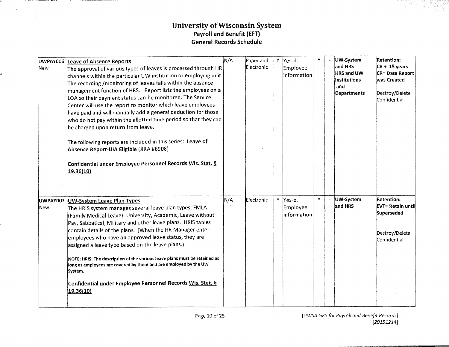| lNew .                 | UWPAY006 Leave of Absence Reports<br>The approval of various types of leaves is processed through <code>HR</code><br>channels within the particular UW institution or employing unit.<br>The recording / monitoring of leaves falls within the absence<br>management function of HRS. Report lists the employees on a<br>LOA so their payment status can be monitored. The Service<br>Center will use the report to monitor which leave employees<br>have paid and will manually add a general deduction for those<br>who do not pay within the allotted time period so that they can<br>be charged upon return from leave.<br>The following reports are included in this series: Leave of<br>Absence Report-UIA Eligible (JIRA #6908)<br>Confidential under Employee Personnel Records Wis. Stat. §<br>19.36(10) | N/A | Paper and<br>Electronic | ۰Y | Yes-d.<br>Employee<br>information                | Y | UW-System<br>and HRS<br><b>HRS and UW</b><br><b>Institutions</b><br>and<br><b>Departments</b> | <b>Retention:</b><br>$CR + 15$ years<br><b>CR= Date Report</b><br>was Created<br>Destroy/Delete<br>Confidential |
|------------------------|-------------------------------------------------------------------------------------------------------------------------------------------------------------------------------------------------------------------------------------------------------------------------------------------------------------------------------------------------------------------------------------------------------------------------------------------------------------------------------------------------------------------------------------------------------------------------------------------------------------------------------------------------------------------------------------------------------------------------------------------------------------------------------------------------------------------|-----|-------------------------|----|--------------------------------------------------|---|-----------------------------------------------------------------------------------------------|-----------------------------------------------------------------------------------------------------------------|
| UWPAY007<br><b>New</b> | <b>UW-System Leave Plan Types</b><br>The HRIS system manages several leave plan types: FMLA<br>(Family Medical Leave); University, Academic, Leave without<br>Pay, Sabbatical, Military and other leave plans. HRIS tables<br>contain details of the plans. (When the HR Manager enter<br>employees who have an approved leave status, they are<br>assigned a leave type based on the leave plans.)<br>NOTE: HRIS: The description of the various leave plans must be retained as<br>long as employees are covered by them and are employed by the UW<br>System.<br>Confidential under Employee Personnel Records Wis. Stat. §<br>19.36(10)                                                                                                                                                                       | N/A | Electronic              |    | Y Yes-d.<br>Employee<br>information <sup>:</sup> | Y | UW-System<br>and HRS                                                                          | <b>Retention:</b><br>EVT= Retain until<br>Superseded<br>Destroy/Delete<br>Confidential                          |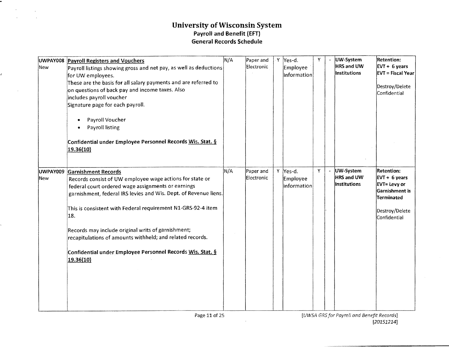.

ê.

 $\sim 10^{-1}$ 

 $\mathcal{O}(\mathcal{A})$  and  $\mathcal{O}(\mathcal{A})$  $\mathcal{L}^{\text{max}}_{\text{max}}$  and  $\mathcal{L}^{\text{max}}_{\text{max}}$  and  $\mathcal{L}^{\text{max}}_{\text{max}}$ 

| New | UWPAY008 Payroll Registers and Vouchers<br>Payroll listings showing gross and net pay, as well as deductions<br>for UW employees.<br>These are the basis for all salary payments and are referred to<br>on questions of back pay and income taxes. Also<br>includes payroll voucher<br>Signature page for each payroll.<br>Payroll Voucher<br>Payroll listing<br>Confidential under Employee Personnel Records Wis. Stat. §<br>19.36(10)                                                | N/A | Paper and<br>Electronic | Y | Yes-d.<br>Employee<br>information | Y | UW-System<br>HRS and UW<br>Institutions        | <b>Retention:</b><br>$EVT + 6 years$<br><b>EVT = Fiscal Year</b><br>Destroy/Delete<br>Confidential                             |
|-----|-----------------------------------------------------------------------------------------------------------------------------------------------------------------------------------------------------------------------------------------------------------------------------------------------------------------------------------------------------------------------------------------------------------------------------------------------------------------------------------------|-----|-------------------------|---|-----------------------------------|---|------------------------------------------------|--------------------------------------------------------------------------------------------------------------------------------|
| New | UWPAY009 Garnishment Records<br>Records consist of UW employee wage actions for state or<br>federal court ordered wage assignments or earnings<br>garnishment, federal IRS levies and Wis. Dept. of Revenue liens.<br>This is consistent with Federal requirement N1-GRS-92-4 item<br>18.<br>Records may include original writs of garnishment;<br>recapitulations of amounts withheld; and related records.<br>Confidential under Employee Personnel Records Wis. Stat. §<br>19.36(10) | N/A | Paper and<br>Electronic | Y | Yes-d.<br>Employee<br>information | v | UW-System<br><b>HRS and UW</b><br>Institutions | Retention:<br>$EVT + 6 \text{ years}$<br><b>EVT= Levy or</b><br>Garnishment is<br>Terminated<br>Destroy/Delete<br>Confidential |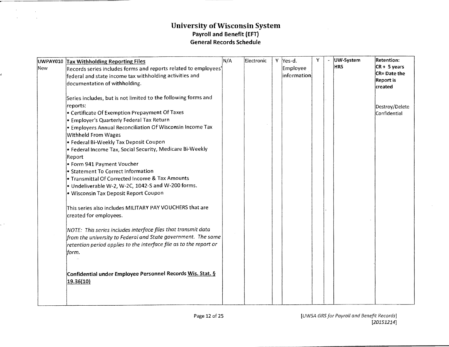$\sim$  $\mathcal{A}$ 

| New | UWPAY010 Tax Withholding Reporting Files<br>Records series includes forms and reports related to employees <sup>4</sup><br>federal and state income tax withholding activities and<br>documentation of withholding.                                                                                                                                                                                                                                                                                                                                                                                          | N/A | Electronic | Y Yes-d.<br>Employee<br>information | Y | UW-System<br><b>HRS</b> | <b>Retention:</b><br>$CR + 5$ years<br>CR= Date the<br><b>Report is</b> |
|-----|--------------------------------------------------------------------------------------------------------------------------------------------------------------------------------------------------------------------------------------------------------------------------------------------------------------------------------------------------------------------------------------------------------------------------------------------------------------------------------------------------------------------------------------------------------------------------------------------------------------|-----|------------|-------------------------------------|---|-------------------------|-------------------------------------------------------------------------|
|     | Series includes, but is not limited to the following forms and<br>reports:<br>• Certificate Of Exemption Prepayment Of Taxes<br>• Employer's Quarterly Federal Tax Return<br>Employers Annual Reconciliation Of Wisconsin Income Tax<br>Withheld From Wages<br>· Federal Bi-Weekly Tax Deposit Coupon<br>$\bullet$ Federal Income Tax, Social Security, Medicare Bi-Weekly<br>Report<br>Form 941 Payment Voucher<br>Statement To Correct Information<br>Transmittal Of Corrected Income & Tax Amounts<br>$\bullet$ Undeliverable W-2, W-2C, 1042-S and W-200 forms.<br>· Wisconsin Tax Deposit Report Coupon |     |            |                                     |   |                         | created<br>Destroy/Delete<br>Confidential                               |
|     | This series also includes MILITARY PAY VOUCHERS that are<br>created for employees.<br>NOTE: This series includes interface files that transmit data<br>from the university to Federal and State government. The same<br>retention period applies to the interface file as to the report or<br>form.<br>Confidential under Employee Personnel Records Wis. Stat. §<br>19.36(10)                                                                                                                                                                                                                               |     |            |                                     |   |                         |                                                                         |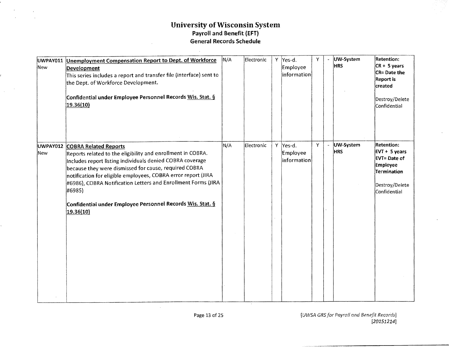$\sim$ 

| New  | UWPAY011 Unemployment Compensation Report to Dept. of Workforce<br>Development<br>This series includes a report and transfer file (interface) sent to<br>the Dept. of Workforce Development.<br>Confidential under Employee Personnel Records Wis. Stat. §<br>19.36(10)                                                                                                                                                                    | N/A | Electronic | Y | Yes-d.<br>Employee<br>$ $ information $ $ | Y |                | UW-System<br><b>HRS</b> | <b>Retention:</b><br>$CR + 5 years$<br>CR= Date the<br><b>Report is</b><br>created<br>Destroy/Delete<br>Confidential     |
|------|--------------------------------------------------------------------------------------------------------------------------------------------------------------------------------------------------------------------------------------------------------------------------------------------------------------------------------------------------------------------------------------------------------------------------------------------|-----|------------|---|-------------------------------------------|---|----------------|-------------------------|--------------------------------------------------------------------------------------------------------------------------|
| lNew | UWPAY012 COBRA Related Reports<br>Reports related to the eligibility and enrollment in COBRA.<br>Includes report listing individuals denied COBRA coverage<br>because they were dismissed for cause, required COBRA<br>notification for eligible employees, COBRA error report (JIRA<br>#6986), COBRA Notification Letters and Enrollment Forms (JIRA<br>#6985)<br>Confidential under Employee Personnel Records Wis. Stat. §<br>19.36(10) | N/A | Electronic |   | Y Yes-d.<br>Employee<br>information       | Y | $\blacksquare$ | UW-System<br><b>HRS</b> | <b>Retention:</b><br>$ EVT + 5$ years<br><b>EVT=Date of</b><br>Employee<br>Termination<br>Destroy/Delete<br>Confidential |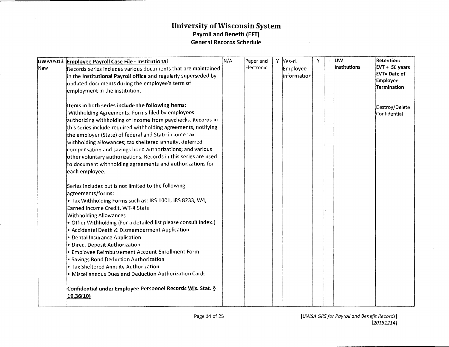$\sim$  $\mathbf{A}$ 

|            | UWPAY013 Employee Payroll Case File - Institutional                                              | N/A | Paper and  | Y | Yes-d.      | Y | <b>JUW</b>   | Retention:              |
|------------|--------------------------------------------------------------------------------------------------|-----|------------|---|-------------|---|--------------|-------------------------|
| <b>New</b> | Records series includes various documents that are maintained                                    |     | Electronic |   | Employee    |   | Institutions | $ $ EVT + 50 years      |
|            | in the Institutional Payroll office and regularly superseded by                                  |     |            |   | information |   |              | <b>EVT=Date of</b>      |
|            | updated documents during the employee's term of                                                  |     |            |   |             |   |              | Employee<br>Termination |
|            | employment in the institution.                                                                   |     |            |   |             |   |              |                         |
|            |                                                                                                  |     |            |   |             |   |              |                         |
|            | Items in both series include the following items:                                                |     |            |   |             |   |              | Destroy/Delete          |
|            | Withholding Agreements: Forms filed by employees                                                 |     |            |   |             |   |              | Confidential            |
|            | authorizing withholding of income from paychecks. Records in                                     |     |            |   |             |   |              |                         |
|            | this series include required withholding agreements, notifying                                   |     |            |   |             |   |              |                         |
|            | the employer (State) of federal and State income tax                                             |     |            |   |             |   |              |                         |
|            | withholding allowances; tax sheltered annuity, deferred                                          |     |            |   |             |   |              |                         |
|            | compensation and savings bond authorizations; and various                                        |     |            |   |             |   |              |                         |
|            | other voluntary authorizations. Records in this series are used                                  |     |            |   |             |   |              |                         |
|            | to document withholding agreements and authorizations for                                        |     |            |   |             |   |              |                         |
|            | each employee.                                                                                   |     |            |   |             |   |              |                         |
|            |                                                                                                  |     |            |   |             |   |              |                         |
|            | Series includes but is not limited to the following                                              |     |            |   |             |   |              |                         |
|            | agreements/forms:                                                                                |     |            |   |             |   |              |                         |
|            | . Tax Withholding Forms such as: IRS 1001, IRS 8233, W4,                                         |     |            |   |             |   |              |                         |
|            | Earned Income Credit, WT-4 State                                                                 |     |            |   |             |   |              |                         |
|            | <b>Withholding Allowances</b><br>• Other Withholding (For a detailed list please consult index.) |     |            |   |             |   |              |                         |
|            | • Accidental Death & Dismemberment Application                                                   |     |            |   |             |   |              |                         |
|            | • Dental Insurance Application                                                                   |     |            |   |             |   |              |                         |
|            | • Direct Deposit Authorization                                                                   |     |            |   |             |   |              |                         |
|            | · Employee Reimbursement Account Enrollment Form                                                 |     |            |   |             |   |              |                         |
|            | · Savings Bond Deduction Authorization                                                           |     |            |   |             |   |              |                         |
|            | . Tax Sheltered Annuity Authorization                                                            |     |            |   |             |   |              |                         |
|            | Miscellaneous Dues and Deduction Authorization Cards                                             |     |            |   |             |   |              |                         |
|            |                                                                                                  |     |            |   |             |   |              |                         |
|            | Confidential under Employee Personnel Records Wis. Stat. §                                       |     |            |   |             |   |              |                         |
|            | 19.36(10)                                                                                        |     |            |   |             |   |              |                         |
|            |                                                                                                  |     |            |   |             |   |              |                         |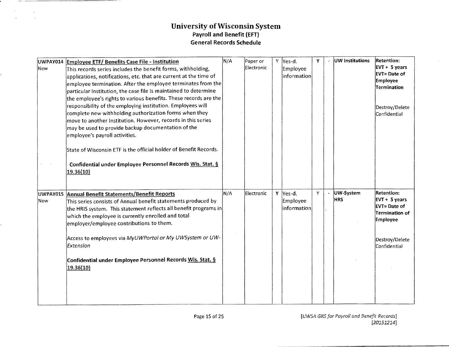**Service Community** 

 $\sim$  $\mathcal{L}^{\mathcal{L}}$ 

| New             | UWPAY014 Employee ETF/ Benefits Case File - Institution<br>This records series includes the benefit forms, withholding,<br>applications, notifications, etc. that are current at the time of<br>$ $ employee termination. After the employee terminates from the $ $<br>particular Institution, the case file is maintained to determine<br>the employee's rights to various benefits. These records are the<br>responsibility of the employing institution. Employees will<br>complete new withholding authorization forms when they<br>move to another Institution. However, records in this series<br>may be used to provide backup documentation of the<br>employee's payroll activities.<br>State of Wisconsin ETF is the official holder of Benefit Records.<br>Confidential under Employee Personnel Records Wis. Stat. §<br>19.36(10) | N/A | Paper or<br>Electronic | Y | Yes-d.<br>Employee<br>linformationl                           | Y | UW Institutions         | <b>Retention:</b><br>$EVT + 5 years$<br>EVT= Date of<br><b>Employee</b><br>Termination<br>Destroy/Delete<br>Confidential   |
|-----------------|-----------------------------------------------------------------------------------------------------------------------------------------------------------------------------------------------------------------------------------------------------------------------------------------------------------------------------------------------------------------------------------------------------------------------------------------------------------------------------------------------------------------------------------------------------------------------------------------------------------------------------------------------------------------------------------------------------------------------------------------------------------------------------------------------------------------------------------------------|-----|------------------------|---|---------------------------------------------------------------|---|-------------------------|----------------------------------------------------------------------------------------------------------------------------|
| UWPAY015<br>New | Annual Benefit Statements/Benefit Reports<br>This series consists of Annual benefit statements produced by<br>the HRIS system. This statement reflects all benefit programs in<br>which the employee is currently enrolled and total<br>employer/employee contributions to them.<br>Access to employees via MyUWPortal or My UWSystem or UW-<br>Extension<br>Confidential under Employee Personnel Records Wis. Stat. §<br>19.36(10)                                                                                                                                                                                                                                                                                                                                                                                                          | N/A | Electronic             |   | Y Yes-d.<br>Employee<br>$\left  \mathsf{information} \right $ | Y | UW-System<br><b>HRS</b> | <b>Retention:</b><br>$EVT + 5$ years<br><b>EVT=Date of</b><br>Termination of<br>Employee<br>Destroy/Delete<br>Confidential |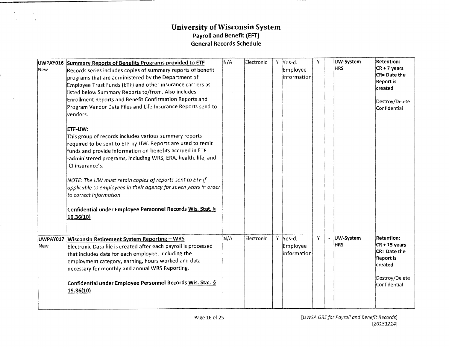| UWPAY016<br>New | Summary Reports of Benefits Programs provided to ETF<br>Records series includes copies of summary reports of benefit<br>programs that are administered by the Department of<br>Employee Trust Funds (ETF) and other insurance carriers as<br>listed below Summary Reports to/from. Also includes<br>Enrollment Reports and Benefit Confirmation Reports and<br>Program Vendor Data Files and Life Insurance Reports send to<br>vendors.<br><b>ETF-UW:</b><br>This group of records includes various summary reports<br>required to be sent to ETF by UW. Reports are used to remit<br>funds and provide information on benefits accrued in ETF<br>-administered programs, including WRS, ERA, health, life, and<br>ICI insurance's.<br>NOTE: The UW must retain copies of reports sent to ETF if<br>applicable to employees in their agency for seven years in order<br>to correct information<br>Confidential under Employee Personnel Records Wis. Stat. §<br>19.36(10) | ∣N/A | Electronic | Y. | Yes-d.<br>Employee<br>information   | Y | UW-System<br><b>HRS</b> | <b>Retention:</b><br>$CR + 7$ years<br>CR= Date the<br><b>Report</b> is<br>created<br>Destroy/Delete<br>Confidential  |
|-----------------|---------------------------------------------------------------------------------------------------------------------------------------------------------------------------------------------------------------------------------------------------------------------------------------------------------------------------------------------------------------------------------------------------------------------------------------------------------------------------------------------------------------------------------------------------------------------------------------------------------------------------------------------------------------------------------------------------------------------------------------------------------------------------------------------------------------------------------------------------------------------------------------------------------------------------------------------------------------------------|------|------------|----|-------------------------------------|---|-------------------------|-----------------------------------------------------------------------------------------------------------------------|
| UWPAY017<br>New | <b>Wisconsin Retirement System Reporting - WRS</b><br>Electronic Data file is created after each payroll is processed<br>that includes data for each employee, including the<br>employment category, earning, hours worked and data<br>necessary for monthly and annual WRS Reporting.<br>Confidential under Employee Personnel Records Wis. Stat. §<br>19.36(10)                                                                                                                                                                                                                                                                                                                                                                                                                                                                                                                                                                                                         | N/A  | Electronic |    | Y Yes-d.<br>Employee<br>information | Y | UW-System<br><b>HRS</b> | <b>Retention:</b><br>$CR + 15$ years<br>CR= Date the<br><b>Report is</b><br>created<br>Destroy/Delete<br>Confidential |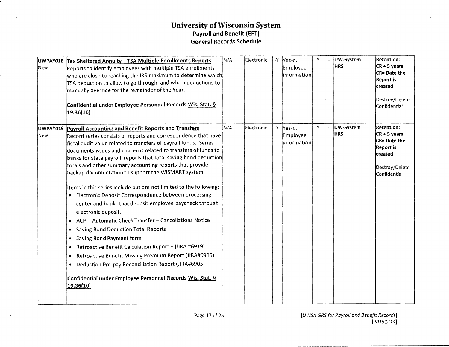| New             | UWPAY018 Tax Sheltered Annuity - TSA Multiple Enrollments Reports<br>Reports to identify employees with multiple TSA enrollments<br>who are close to reaching the IRS maximum to determine which<br>TSA deduction to allow to go through, and which deductions to<br>manually override for the remainder of the Year.<br>Confidential under Employee Personnel Records Wis. Stat. §<br>19.36(10)                                                                                                                                                                                                                                                                                                                                                                                                                                                                                                                                                                                                                                                                                                 | N/A | Electronic | ۰Y | Yes-d.<br>Employee<br>$ $ information $ $ | Y. | UW-System<br><b>HRS</b> | <b>Retention:</b><br>$CR + 5$ years<br>CR= Date the<br><b>Report</b> is<br>created<br>Destroy/Delete<br>Confidential |
|-----------------|--------------------------------------------------------------------------------------------------------------------------------------------------------------------------------------------------------------------------------------------------------------------------------------------------------------------------------------------------------------------------------------------------------------------------------------------------------------------------------------------------------------------------------------------------------------------------------------------------------------------------------------------------------------------------------------------------------------------------------------------------------------------------------------------------------------------------------------------------------------------------------------------------------------------------------------------------------------------------------------------------------------------------------------------------------------------------------------------------|-----|------------|----|-------------------------------------------|----|-------------------------|----------------------------------------------------------------------------------------------------------------------|
| UWPAY019<br>New | <b>Payroll Accounting and Benefit Reports and Transfers</b><br>Record series consists of reports and correspondence that have<br>fiscal audit value related to transfers of payroll funds. Series<br>documents issues and concerns related to transfers of funds to<br>banks for state payroll, reports that total saving bond deduction<br>totals and other summary accounting reports that provide<br>backup documentation to support the WISMART system.<br>Items in this series include but are not limited to the following:<br>Electronic Deposit Correspondence between processing<br>٠<br>center and banks that deposit employee paycheck through<br>electronic deposit.<br>ACH - Automatic Check Transfer - Cancellations Notice<br><b>Saving Bond Deduction Total Reports</b><br>٠<br>Saving Bond Payment form<br>٠<br>Retroactive Benefit Calculation Report - (JIRA #6919)<br>۰<br>Retroactive Benefit Missing Premium Report (JIRA#6905)<br>٠<br>Deduction Pre-pay Reconciliation Report (JIRA#6905<br>۰<br>Confidential under Employee Personnel Records Wis. Stat. §<br>19.36(10) | M/A | Electronic |    | Y Yes-d.<br>Employee<br> information      | Y. | UW-System<br><b>HRS</b> | <b>Retention:</b><br>$CR + 5$ years<br>CR= Date the<br><b>Report is</b><br>created<br>Destroy/Delete<br>Confidential |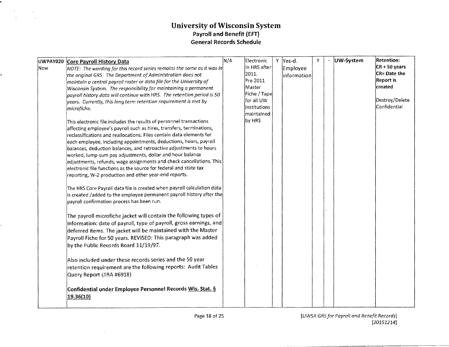|     | UWPAY020 Core Payroll History Data                                                     | N/A | Electronic   | ۰Y | Yes-d.      |  | UW-System | <b>Retention:</b> |
|-----|----------------------------------------------------------------------------------------|-----|--------------|----|-------------|--|-----------|-------------------|
| New | $\vert$ NOTE: The wording for this record series remains the same as it was in $\vert$ |     | In HRS after |    | Employee    |  |           | $CR + 50$ years   |
|     | the original GRS. The Department of Administration does not                            |     | 2011.        |    | information |  |           | CR= Date the      |
|     | maintain a central payroll roster or data file for the University of                   |     | Pre 2011     |    |             |  |           | <b>Report is</b>  |
|     | Wisconsin System. The responsibility for maintaining a permanent                       |     | Master       |    |             |  |           | created           |
|     | payroll history data will continue with HRS. The retention period is 50                |     | Fiche / Tape |    |             |  |           |                   |
|     | years. Currently, this long term retention requirement is met by                       |     | for all UW   |    |             |  |           | Destroy/Delete    |
|     | microfiche.                                                                            |     | Institutions |    |             |  |           | Confidential      |
|     |                                                                                        |     | lmaintained  |    |             |  |           |                   |
|     | This electronic file includes the results of personnel transactions                    |     | by HRS       |    |             |  |           |                   |
|     | affecting employee's payroll such as hires, transfers, terminations,                   |     |              |    |             |  |           |                   |
|     | reclassifications and reallocations. Files contain data elements for                   |     |              |    |             |  |           |                   |
|     | each employee, including appointments, deductions, hours, payroll                      |     |              |    |             |  |           |                   |
|     | balances, deduction balances, and retroactive adjustments to hours                     |     |              |    |             |  |           |                   |
|     | worked, lump-sum pay adjustments, dollar and hour balance                              |     |              |    |             |  |           |                   |
|     | adjustments, refunds, wage assignments and check cancellations. This                   |     |              |    |             |  |           |                   |
|     | electronic file functions as the source for federal and state tax                      |     |              |    |             |  |           |                   |
|     | reporting, W-2 production and other year-end reports.                                  |     |              |    |             |  |           |                   |
|     | The HRS Core Payroll data file is created when payroll calculation data                |     |              |    |             |  |           |                   |
|     | is created /added to the employee permanent payroll history after the                  |     |              |    |             |  |           |                   |
|     | payroll confirmation process has been run.                                             |     |              |    |             |  |           |                   |
|     | The payroll microfiche jacket will contain the following types of                      |     |              |    |             |  |           |                   |
|     | information: date of payroll, type of payroll, gross earnings, and                     |     |              |    |             |  |           |                   |
|     | deferred items. The jacket will be maintained with the Master                          |     |              |    |             |  |           |                   |
|     |                                                                                        |     |              |    |             |  |           |                   |
|     | Payroll Fiche for 50 years. REVISED: This paragraph was added                          |     |              |    |             |  |           |                   |
|     | by the Public Records Board 11/19/97.                                                  |     |              |    |             |  |           |                   |
|     | Also included under these records series and the 50 year                               |     |              |    |             |  |           |                   |
|     | retention requirement are the following reports: Audit Tables                          |     |              |    |             |  |           |                   |
|     | Query Report (JIRA #6918)                                                              |     |              |    |             |  |           |                   |
|     | Confidential under Employee Personnel Records Wis. Stat. §<br>19.36(10)                |     |              |    |             |  |           |                   |

... -~~-··------------------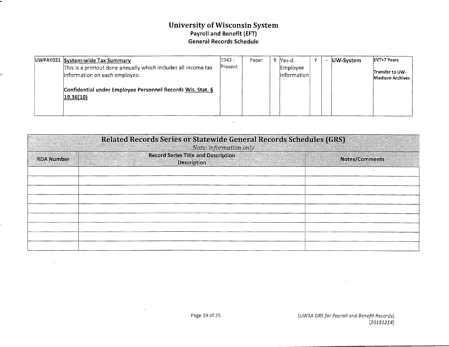| UWPAY021 System-wide Tax Summary                                                                | 1943 -  | Paper | lYes-d.                  |  | UW-System | <b>EVT+7 Years</b>                  |
|-------------------------------------------------------------------------------------------------|---------|-------|--------------------------|--|-----------|-------------------------------------|
| This is a printout done annually which includes all income tax<br>information on each employee. | Present |       | Employee<br>linformation |  |           | Transfer to UW-<br>Madison Archives |
| Confidential under Employee Personnel Records Wis. Stat. §<br> 19.36(10)                        |         |       |                          |  |           |                                     |

| Related Records Series or Statewide General Records Schedules (GRS)<br>Note: information only |                                                                  |                |  |  |  |
|-----------------------------------------------------------------------------------------------|------------------------------------------------------------------|----------------|--|--|--|
| <b>RDA Number</b>                                                                             | <b>Record Series Title and Description</b><br><b>Description</b> | Notes/Comments |  |  |  |
|                                                                                               |                                                                  |                |  |  |  |
|                                                                                               |                                                                  |                |  |  |  |
|                                                                                               |                                                                  |                |  |  |  |
|                                                                                               |                                                                  |                |  |  |  |
|                                                                                               |                                                                  |                |  |  |  |
|                                                                                               |                                                                  |                |  |  |  |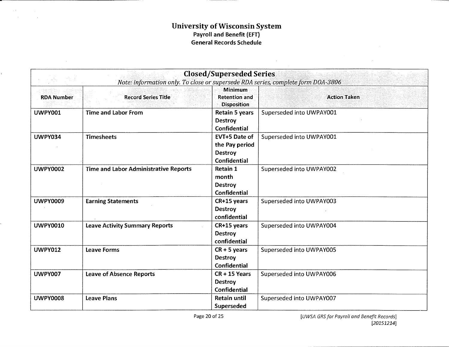$\sim 400$  km s  $^{-1}$  .  $\sim$ 

|                   | Note: information only. To close or supersede RDA series, complete form DOA-3806 | <b>Closed/Superseded Series</b>                                          |                          |
|-------------------|----------------------------------------------------------------------------------|--------------------------------------------------------------------------|--------------------------|
| <b>RDA Number</b> | <b>Record Series Title</b>                                                       | <b>Minimum</b><br><b>Retention and</b><br><b>Disposition</b>             | <b>Action Taken</b>      |
| <b>UWPY001</b>    | <b>Time and Labor From</b>                                                       | <b>Retain 5 years</b><br><b>Destroy</b><br><b>Confidential</b>           | Superseded into UWPAY001 |
| <b>UWPY034</b>    | <b>Timesheets</b>                                                                | <b>EVT+5 Date of</b><br>the Pay period<br><b>Destroy</b><br>Confidential | Superseded into UWPAY001 |
| <b>UWPY0002</b>   | <b>Time and Labor Administrative Reports</b>                                     | <b>Retain 1</b><br>month<br><b>Destroy</b><br><b>Confidential</b>        | Superseded into UWPAY002 |
| <b>UWPY0009</b>   | <b>Earning Statements</b>                                                        | CR+15 years<br><b>Destroy</b><br>confidential                            | Superseded into UWPAY003 |
| <b>UWPY0010</b>   | <b>Leave Activity Summary Reports</b>                                            | CR+15 years<br><b>Destroy</b><br>confidential                            | Superseded into UWPAY004 |
| <b>UWPY012</b>    | <b>Leave Forms</b>                                                               | $CR + 5$ years<br><b>Destroy</b><br><b>Confidential</b>                  | Superseded into UWPAY005 |
| <b>UWPY007</b>    | <b>Leave of Absence Reports</b>                                                  | $CR + 15$ Years<br><b>Destroy</b><br><b>Confidential</b>                 | Superseded into UWPAY006 |
| <b>UWPY0008</b>   | <b>Leave Plans</b>                                                               | <b>Retain until</b><br>Superseded                                        | Superseded into UWPAY007 |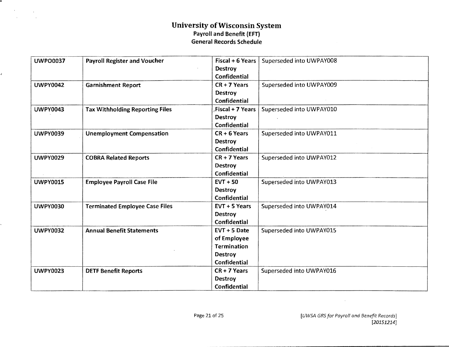$\mathcal{O}(\mathcal{F}^{\mathcal{O}})$  , where  $\mathcal{O}(\mathcal{F}^{\mathcal{O}})$ 

 $\frac{d}{dt}$ 

 $\mathcal{A}$ 

| <b>UWPO0037</b> | <b>Payroll Register and Voucher</b>    | Fiscal $+ 6$ Years  | Superseded into UWPAY008 |  |
|-----------------|----------------------------------------|---------------------|--------------------------|--|
|                 |                                        | <b>Destroy</b>      |                          |  |
|                 |                                        | <b>Confidential</b> |                          |  |
| <b>UWPY0042</b> | <b>Garnishment Report</b>              | $CR + 7$ Years      | Superseded into UWPAY009 |  |
|                 |                                        | <b>Destroy</b>      |                          |  |
|                 |                                        | Confidential        |                          |  |
| <b>UWPY0043</b> | <b>Tax Withholding Reporting Files</b> | Fiscal + 7 Years    | Superseded into UWPAY010 |  |
|                 |                                        | <b>Destroy</b>      |                          |  |
|                 |                                        | <b>Confidential</b> |                          |  |
| <b>UWPY0039</b> | <b>Unemployment Compensation</b>       | $CR + 6$ Years      | Superseded into UWPAY011 |  |
|                 |                                        | <b>Destroy</b>      |                          |  |
|                 |                                        | Confidential        |                          |  |
| <b>UWPY0029</b> | <b>COBRA Related Reports</b>           | $CR + 7$ Years      | Superseded into UWPAY012 |  |
|                 |                                        | <b>Destroy</b>      |                          |  |
|                 |                                        | Confidential        |                          |  |
| <b>UWPY0015</b> | <b>Employee Payroll Case File</b>      | $EVT + 50$          | Superseded into UWPAY013 |  |
|                 |                                        | <b>Destroy</b>      |                          |  |
|                 |                                        | <b>Confidential</b> |                          |  |
| <b>UWPY0030</b> | <b>Terminated Employee Case Files</b>  | $EVT + 5$ Years     | Superseded into UWPAY014 |  |
|                 |                                        | <b>Destroy</b>      |                          |  |
|                 |                                        | <b>Confidential</b> |                          |  |
| <b>UWPY0032</b> | <b>Annual Benefit Statements</b>       | $EVT + 5$ Date      | Superseded into UWPAY015 |  |
|                 |                                        | of Employee         |                          |  |
|                 |                                        | <b>Termination</b>  |                          |  |
|                 |                                        | Destroy             |                          |  |
|                 |                                        | <b>Confidential</b> |                          |  |
| <b>UWPY0023</b> | <b>DETF Benefit Reports</b>            | $CR + 7$ Years      | Superseded into UWPAY016 |  |
|                 |                                        | <b>Destroy</b>      |                          |  |
|                 |                                        | <b>Confidential</b> |                          |  |

 $\sim$   $\sim$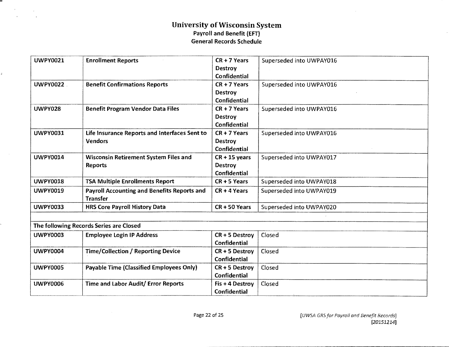.

ĝ.

 $\mathcal{A}^{\mathcal{A}}$ 

 $\sim 10^{-11}$ 

| <b>UWPY0021</b> | <b>Enrollment Reports</b>                          | $CR + 7$ Years      | Superseded into UWPAY016 |
|-----------------|----------------------------------------------------|---------------------|--------------------------|
|                 |                                                    | <b>Destroy</b>      |                          |
|                 |                                                    | <b>Confidential</b> |                          |
| <b>UWPY0022</b> | <b>Benefit Confirmations Reports</b>               | CR + 7 Years        | Superseded into UWPAY016 |
|                 |                                                    | <b>Destroy</b>      |                          |
|                 |                                                    | <b>Confidential</b> |                          |
| <b>UWPY028</b>  | <b>Benefit Program Vendor Data Files</b>           | $CR + 7$ Years      | Superseded into UWPAY016 |
|                 |                                                    | <b>Destroy</b>      |                          |
|                 |                                                    | <b>Confidential</b> |                          |
| <b>UWPY0031</b> | Life Insurance Reports and Interfaces Sent to      | $CR + 7$ Years      | Superseded into UWPAY016 |
|                 | <b>Vendors</b>                                     | <b>Destroy</b>      |                          |
|                 |                                                    | <b>Confidential</b> |                          |
| <b>UWPY0014</b> | <b>Wisconsin Retirement System Files and</b>       | $CR + 15$ years     | Superseded into UWPAY017 |
|                 | Reports                                            | <b>Destroy</b>      |                          |
|                 |                                                    | <b>Confidential</b> |                          |
| <b>UWPY0018</b> | <b>TSA Multiple Enrollments Report</b>             | $CR + 5$ Years      | Superseded into UWPAY018 |
| <b>UWPY0019</b> | <b>Payroll Accounting and Benefits Reports and</b> | $CR + 4$ Years      | Superseded into UWPAY019 |
|                 | <b>Transfer</b>                                    |                     |                          |
| <b>UWPY0033</b> | <b>HRS Core Payroll History Data</b>               | $CR + 50$ Years     | Superseded into UWPAY020 |
|                 |                                                    |                     |                          |
|                 | The following Records Series are Closed            |                     |                          |
| <b>UWPY0003</b> | <b>Employee Login IP Address</b>                   | CR + 5 Destroy      | Closed                   |
|                 |                                                    | <b>Confidential</b> |                          |
| <b>UWPY0004</b> | <b>Time/Collection / Reporting Device</b>          | $CR + 5$ Destroy    | Closed                   |
|                 |                                                    | Confidential        |                          |
| <b>UWPY0005</b> | Payable Time (Classified Employees Only)           | $CR + 5$ Destroy    | Closed                   |
|                 |                                                    | <b>Confidential</b> |                          |
| <b>UWPY0006</b> | Time and Labor Audit/ Error Reports                | Fis + 4 Destroy     | Closed                   |
|                 |                                                    | <b>Confidential</b> |                          |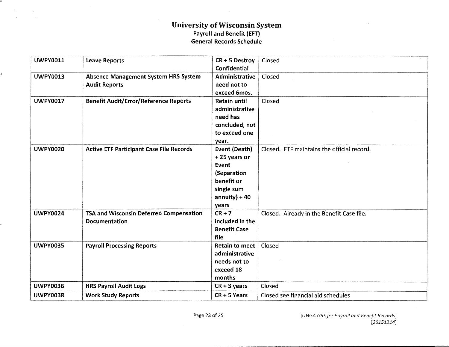| <b>UWPY0011</b> | <b>Leave Reports</b>                            | CR + 5 Destroy       | Closed                                     |
|-----------------|-------------------------------------------------|----------------------|--------------------------------------------|
|                 |                                                 | <b>Confidential</b>  |                                            |
| <b>UWPY0013</b> | Absence Management System HRS System            | Administrative       | Closed                                     |
|                 | <b>Audit Reports</b>                            | need not to          |                                            |
|                 |                                                 | exceed 6mos.         |                                            |
| <b>UWPY0017</b> | <b>Benefit Audit/Error/Reference Reports</b>    | <b>Retain until</b>  | Closed                                     |
|                 |                                                 | administrative       |                                            |
|                 |                                                 | need has             |                                            |
|                 |                                                 | concluded, not       |                                            |
|                 |                                                 | to exceed one        |                                            |
|                 |                                                 | year.                |                                            |
| <b>UWPY0020</b> | <b>Active ETF Participant Case File Records</b> | <b>Event (Death)</b> | Closed. ETF maintains the official record. |
|                 |                                                 | +25 years or         |                                            |
|                 |                                                 | Event                |                                            |
|                 |                                                 | (Separation          |                                            |
|                 |                                                 | benefit or           |                                            |
|                 |                                                 | single sum           |                                            |
|                 |                                                 | $annuity$ ) + 40     |                                            |
|                 |                                                 | years                |                                            |
| <b>UWPY0024</b> | TSA and Wisconsin Deferred Compensation         | $CR + 7$             | Closed. Already in the Benefit Case file.  |
|                 | Documentation                                   | included in the      |                                            |
|                 |                                                 | <b>Benefit Case</b>  |                                            |
|                 |                                                 | file                 |                                            |
| <b>UWPY0035</b> | <b>Payroll Processing Reports</b>               | Retain to meet       | Closed                                     |
|                 |                                                 | administrative       |                                            |
|                 |                                                 | needs not to         |                                            |
|                 |                                                 | exceed 18            |                                            |
|                 |                                                 | months               |                                            |
| <b>UWPY0036</b> | <b>HRS Payroll Audit Logs</b>                   | $CR + 3$ years       | Closed                                     |
| <b>UWPY0038</b> | <b>Work Study Reports</b>                       | $CR + 5$ Years       | Closed see financial aid schedules         |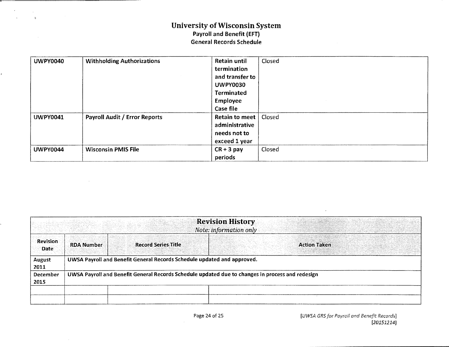$\bar{z}$ 

| <b>UWPY0040</b> | <b>Withholding Authorizations</b>    | <b>Retain until</b>   | Closed |
|-----------------|--------------------------------------|-----------------------|--------|
|                 |                                      | termination           |        |
|                 |                                      | and transfer to       |        |
|                 |                                      | <b>UWPY0030</b>       |        |
|                 |                                      | <b>Terminated</b>     |        |
|                 |                                      | <b>Employee</b>       |        |
|                 |                                      | Case file             |        |
| <b>UWPY0041</b> | <b>Payroll Audit / Error Reports</b> | <b>Retain to meet</b> | Closed |
|                 |                                      | administrative        |        |
|                 |                                      | needs not to          |        |
|                 |                                      | exceed 1 year         |        |
| <b>UWPY0044</b> | <b>Wisconsin PMIS File</b>           | $CR + 3 pay$          | Closed |
|                 |                                      | periods               |        |

| <b>Revision History</b><br>Note: information only |                                                                                                  |                                                                         |  |                     |  |
|---------------------------------------------------|--------------------------------------------------------------------------------------------------|-------------------------------------------------------------------------|--|---------------------|--|
| <b>Revision</b><br><b>Date</b>                    | <b>RDA Number</b>                                                                                | <b>Record Series Title</b>                                              |  | <b>Action Taken</b> |  |
| <b>August</b><br>2011                             |                                                                                                  | UWSA Payroll and Benefit General Records Schedule updated and approved. |  |                     |  |
| <b>December</b><br>2015                           | UWSA Payroll and Benefit General Records Schedule updated due to changes in process and redesign |                                                                         |  |                     |  |
|                                                   |                                                                                                  |                                                                         |  |                     |  |